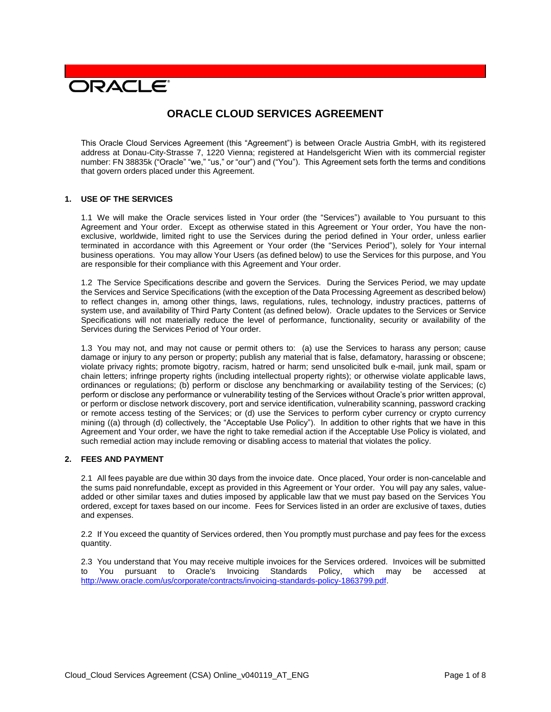# **PACLE**

# **ORACLE CLOUD SERVICES AGREEMENT**

This Oracle Cloud Services Agreement (this "Agreement") is between Oracle Austria GmbH, with its registered address at Donau-City-Strasse 7, 1220 Vienna; registered at Handelsgericht Wien with its commercial register number: FN 38835k ("Oracle" "we," "us," or "our") and ("You"). This Agreement sets forth the terms and conditions that govern orders placed under this Agreement.

#### **1. USE OF THE SERVICES**

1.1 We will make the Oracle services listed in Your order (the "Services") available to You pursuant to this Agreement and Your order. Except as otherwise stated in this Agreement or Your order, You have the nonexclusive, worldwide, limited right to use the Services during the period defined in Your order, unless earlier terminated in accordance with this Agreement or Your order (the "Services Period"), solely for Your internal business operations. You may allow Your Users (as defined below) to use the Services for this purpose, and You are responsible for their compliance with this Agreement and Your order.

1.2 The Service Specifications describe and govern the Services. During the Services Period, we may update the Services and Service Specifications (with the exception of the Data Processing Agreement as described below) to reflect changes in, among other things, laws, regulations, rules, technology, industry practices, patterns of system use, and availability of Third Party Content (as defined below). Oracle updates to the Services or Service Specifications will not materially reduce the level of performance, functionality, security or availability of the Services during the Services Period of Your order.

1.3 You may not, and may not cause or permit others to: (a) use the Services to harass any person; cause damage or injury to any person or property; publish any material that is false, defamatory, harassing or obscene; violate privacy rights; promote bigotry, racism, hatred or harm; send unsolicited bulk e-mail, junk mail, spam or chain letters; infringe property rights (including intellectual property rights); or otherwise violate applicable laws, ordinances or regulations; (b) perform or disclose any benchmarking or availability testing of the Services; (c) perform or disclose any performance or vulnerability testing of the Services without Oracle's prior written approval, or perform or disclose network discovery, port and service identification, vulnerability scanning, password cracking or remote access testing of the Services; or (d) use the Services to perform cyber currency or crypto currency mining ((a) through (d) collectively, the "Acceptable Use Policy"). In addition to other rights that we have in this Agreement and Your order, we have the right to take remedial action if the Acceptable Use Policy is violated, and such remedial action may include removing or disabling access to material that violates the policy.

# **2. FEES AND PAYMENT**

2.1 All fees payable are due within 30 days from the invoice date. Once placed, Your order is non-cancelable and the sums paid nonrefundable, except as provided in this Agreement or Your order. You will pay any sales, valueadded or other similar taxes and duties imposed by applicable law that we must pay based on the Services You ordered, except for taxes based on our income. Fees for Services listed in an order are exclusive of taxes, duties and expenses.

2.2 If You exceed the quantity of Services ordered, then You promptly must purchase and pay fees for the excess quantity.

2.3 You understand that You may receive multiple invoices for the Services ordered. Invoices will be submitted to You pursuant to Oracle's Invoicing Standards Policy, which may be accessed at [http://www.oracle.com/us/corporate/contracts/invoicing-standards-policy-1863799.pdf.](http://www.oracle.com/us/corporate/contracts/invoicing-standards-policy-1863799.pdf)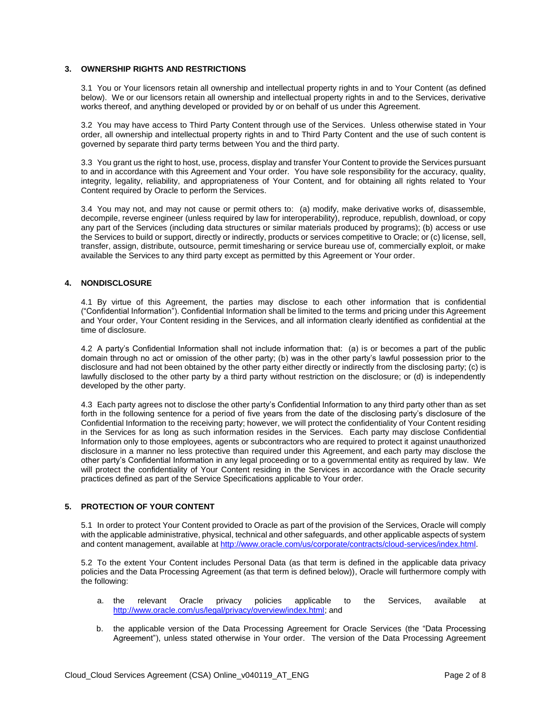# **3. OWNERSHIP RIGHTS AND RESTRICTIONS**

3.1 You or Your licensors retain all ownership and intellectual property rights in and to Your Content (as defined below). We or our licensors retain all ownership and intellectual property rights in and to the Services, derivative works thereof, and anything developed or provided by or on behalf of us under this Agreement.

3.2 You may have access to Third Party Content through use of the Services. Unless otherwise stated in Your order, all ownership and intellectual property rights in and to Third Party Content and the use of such content is governed by separate third party terms between You and the third party.

3.3 You grant us the right to host, use, process, display and transfer Your Content to provide the Services pursuant to and in accordance with this Agreement and Your order. You have sole responsibility for the accuracy, quality, integrity, legality, reliability, and appropriateness of Your Content, and for obtaining all rights related to Your Content required by Oracle to perform the Services.

3.4 You may not, and may not cause or permit others to: (a) modify, make derivative works of, disassemble, decompile, reverse engineer (unless required by law for interoperability), reproduce, republish, download, or copy any part of the Services (including data structures or similar materials produced by programs); (b) access or use the Services to build or support, directly or indirectly, products or services competitive to Oracle; or (c) license, sell, transfer, assign, distribute, outsource, permit timesharing or service bureau use of, commercially exploit, or make available the Services to any third party except as permitted by this Agreement or Your order.

# **4. NONDISCLOSURE**

4.1 By virtue of this Agreement, the parties may disclose to each other information that is confidential ("Confidential Information"). Confidential Information shall be limited to the terms and pricing under this Agreement and Your order, Your Content residing in the Services, and all information clearly identified as confidential at the time of disclosure.

4.2 A party's Confidential Information shall not include information that: (a) is or becomes a part of the public domain through no act or omission of the other party; (b) was in the other party's lawful possession prior to the disclosure and had not been obtained by the other party either directly or indirectly from the disclosing party; (c) is lawfully disclosed to the other party by a third party without restriction on the disclosure; or (d) is independently developed by the other party.

4.3 Each party agrees not to disclose the other party's Confidential Information to any third party other than as set forth in the following sentence for a period of five years from the date of the disclosing party's disclosure of the Confidential Information to the receiving party; however, we will protect the confidentiality of Your Content residing in the Services for as long as such information resides in the Services. Each party may disclose Confidential Information only to those employees, agents or subcontractors who are required to protect it against unauthorized disclosure in a manner no less protective than required under this Agreement, and each party may disclose the other party's Confidential Information in any legal proceeding or to a governmental entity as required by law. We will protect the confidentiality of Your Content residing in the Services in accordance with the Oracle security practices defined as part of the Service Specifications applicable to Your order.

# **5. PROTECTION OF YOUR CONTENT**

5.1 In order to protect Your Content provided to Oracle as part of the provision of the Services, Oracle will comply with the applicable administrative, physical, technical and other safeguards, and other applicable aspects of system and content management, available at [http://www.oracle.com/us/corporate/contracts/cloud-services/index.html.](http://www.oracle.com/us/corporate/contracts/cloud-services/index.html)

5.2 To the extent Your Content includes Personal Data (as that term is defined in the applicable data privacy policies and the Data Processing Agreement (as that term is defined below)), Oracle will furthermore comply with the following:

- a. the relevant Oracle privacy policies applicable to the Services, available at [http://www.oracle.com/us/legal/privacy/overview/index.html;](http://www.oracle.com/us/legal/privacy/overview/index.html) and
- b. the applicable version of the Data Processing Agreement for Oracle Services (the "Data Processing Agreement"), unless stated otherwise in Your order. The version of the Data Processing Agreement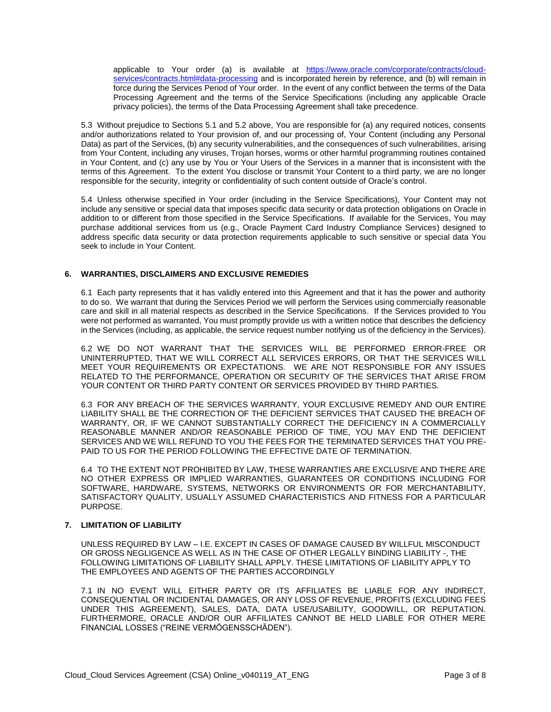applicable to Your order (a) is available at [https://www.oracle.com/corporate/contracts/cloud](https://www.oracle.com/corporate/contracts/cloud-services/contracts.html#data-processing)[services/contracts.html#data-processing](https://www.oracle.com/corporate/contracts/cloud-services/contracts.html#data-processing) and is incorporated herein by reference, and (b) will remain in force during the Services Period of Your order. In the event of any conflict between the terms of the Data Processing Agreement and the terms of the Service Specifications (including any applicable Oracle privacy policies), the terms of the Data Processing Agreement shall take precedence.

5.3 Without prejudice to Sections 5.1 and 5.2 above, You are responsible for (a) any required notices, consents and/or authorizations related to Your provision of, and our processing of, Your Content (including any Personal Data) as part of the Services, (b) any security vulnerabilities, and the consequences of such vulnerabilities, arising from Your Content, including any viruses, Trojan horses, worms or other harmful programming routines contained in Your Content, and (c) any use by You or Your Users of the Services in a manner that is inconsistent with the terms of this Agreement. To the extent You disclose or transmit Your Content to a third party, we are no longer responsible for the security, integrity or confidentiality of such content outside of Oracle's control.

5.4 Unless otherwise specified in Your order (including in the Service Specifications), Your Content may not include any sensitive or special data that imposes specific data security or data protection obligations on Oracle in addition to or different from those specified in the Service Specifications. If available for the Services, You may purchase additional services from us (e.g., Oracle Payment Card Industry Compliance Services) designed to address specific data security or data protection requirements applicable to such sensitive or special data You seek to include in Your Content.

# **6. WARRANTIES, DISCLAIMERS AND EXCLUSIVE REMEDIES**

6.1 Each party represents that it has validly entered into this Agreement and that it has the power and authority to do so. We warrant that during the Services Period we will perform the Services using commercially reasonable care and skill in all material respects as described in the Service Specifications. If the Services provided to You were not performed as warranted, You must promptly provide us with a written notice that describes the deficiency in the Services (including, as applicable, the service request number notifying us of the deficiency in the Services).

6.2 WE DO NOT WARRANT THAT THE SERVICES WILL BE PERFORMED ERROR-FREE OR UNINTERRUPTED, THAT WE WILL CORRECT ALL SERVICES ERRORS, OR THAT THE SERVICES WILL MEET YOUR REQUIREMENTS OR EXPECTATIONS. WE ARE NOT RESPONSIBLE FOR ANY ISSUES RELATED TO THE PERFORMANCE, OPERATION OR SECURITY OF THE SERVICES THAT ARISE FROM YOUR CONTENT OR THIRD PARTY CONTENT OR SERVICES PROVIDED BY THIRD PARTIES.

6.3 FOR ANY BREACH OF THE SERVICES WARRANTY, YOUR EXCLUSIVE REMEDY AND OUR ENTIRE LIABILITY SHALL BE THE CORRECTION OF THE DEFICIENT SERVICES THAT CAUSED THE BREACH OF WARRANTY, OR, IF WE CANNOT SUBSTANTIALLY CORRECT THE DEFICIENCY IN A COMMERCIALLY REASONABLE MANNER AND/OR REASONABLE PERIOD OF TIME, YOU MAY END THE DEFICIENT SERVICES AND WE WILL REFUND TO YOU THE FEES FOR THE TERMINATED SERVICES THAT YOU PRE-PAID TO US FOR THE PERIOD FOLLOWING THE EFFECTIVE DATE OF TERMINATION.

6.4 TO THE EXTENT NOT PROHIBITED BY LAW, THESE WARRANTIES ARE EXCLUSIVE AND THERE ARE NO OTHER EXPRESS OR IMPLIED WARRANTIES, GUARANTEES OR CONDITIONS INCLUDING FOR SOFTWARE, HARDWARE, SYSTEMS, NETWORKS OR ENVIRONMENTS OR FOR MERCHANTABILITY, SATISFACTORY QUALITY, USUALLY ASSUMED CHARACTERISTICS AND FITNESS FOR A PARTICULAR PURPOSE.

# **7. LIMITATION OF LIABILITY**

UNLESS REQUIRED BY LAW – I.E. EXCEPT IN CASES OF DAMAGE CAUSED BY WILLFUL MISCONDUCT OR GROSS NEGLIGENCE AS WELL AS IN THE CASE OF OTHER LEGALLY BINDING LIABILITY -, THE FOLLOWING LIMITATIONS OF LIABILITY SHALL APPLY. THESE LIMITATIONS OF LIABILITY APPLY TO THE EMPLOYEES AND AGENTS OF THE PARTIES ACCORDINGLY

7.1 IN NO EVENT WILL EITHER PARTY OR ITS AFFILIATES BE LIABLE FOR ANY INDIRECT, CONSEQUENTIAL OR INCIDENTAL DAMAGES, OR ANY LOSS OF REVENUE, PROFITS (EXCLUDING FEES UNDER THIS AGREEMENT), SALES, DATA, DATA USE/USABILITY, GOODWILL, OR REPUTATION. FURTHERMORE, ORACLE AND/OR OUR AFFILIATES CANNOT BE HELD LIABLE FOR OTHER MERE FINANCIAL LOSSES ("REINE VERMÖGENSSCHÄDEN").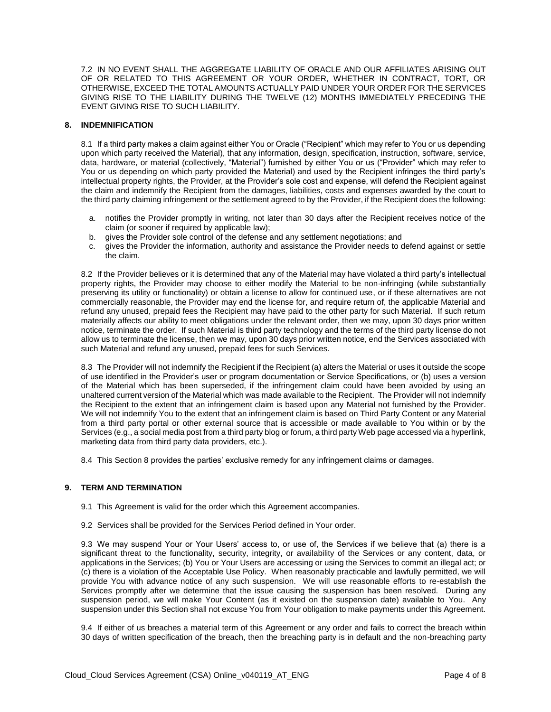7.2 IN NO EVENT SHALL THE AGGREGATE LIABILITY OF ORACLE AND OUR AFFILIATES ARISING OUT OF OR RELATED TO THIS AGREEMENT OR YOUR ORDER, WHETHER IN CONTRACT, TORT, OR OTHERWISE, EXCEED THE TOTAL AMOUNTS ACTUALLY PAID UNDER YOUR ORDER FOR THE SERVICES GIVING RISE TO THE LIABILITY DURING THE TWELVE (12) MONTHS IMMEDIATELY PRECEDING THE EVENT GIVING RISE TO SUCH LIABILITY.

# **8. INDEMNIFICATION**

8.1 If a third party makes a claim against either You or Oracle ("Recipient" which may refer to You or us depending upon which party received the Material), that any information, design, specification, instruction, software, service, data, hardware, or material (collectively, "Material") furnished by either You or us ("Provider" which may refer to You or us depending on which party provided the Material) and used by the Recipient infringes the third party's intellectual property rights, the Provider, at the Provider's sole cost and expense, will defend the Recipient against the claim and indemnify the Recipient from the damages, liabilities, costs and expenses awarded by the court to the third party claiming infringement or the settlement agreed to by the Provider, if the Recipient does the following:

- a. notifies the Provider promptly in writing, not later than 30 days after the Recipient receives notice of the claim (or sooner if required by applicable law);
- b. gives the Provider sole control of the defense and any settlement negotiations; and
- c. gives the Provider the information, authority and assistance the Provider needs to defend against or settle the claim.

8.2 If the Provider believes or it is determined that any of the Material may have violated a third party's intellectual property rights, the Provider may choose to either modify the Material to be non-infringing (while substantially preserving its utility or functionality) or obtain a license to allow for continued use, or if these alternatives are not commercially reasonable, the Provider may end the license for, and require return of, the applicable Material and refund any unused, prepaid fees the Recipient may have paid to the other party for such Material. If such return materially affects our ability to meet obligations under the relevant order, then we may, upon 30 days prior written notice, terminate the order. If such Material is third party technology and the terms of the third party license do not allow us to terminate the license, then we may, upon 30 days prior written notice, end the Services associated with such Material and refund any unused, prepaid fees for such Services.

8.3 The Provider will not indemnify the Recipient if the Recipient (a) alters the Material or uses it outside the scope of use identified in the Provider's user or program documentation or Service Specifications, or (b) uses a version of the Material which has been superseded, if the infringement claim could have been avoided by using an unaltered current version of the Material which was made available to the Recipient. The Provider will not indemnify the Recipient to the extent that an infringement claim is based upon any Material not furnished by the Provider. We will not indemnify You to the extent that an infringement claim is based on Third Party Content or any Material from a third party portal or other external source that is accessible or made available to You within or by the Services (e.g., a social media post from a third party blog or forum, a third party Web page accessed via a hyperlink, marketing data from third party data providers, etc.).

8.4 This Section 8 provides the parties' exclusive remedy for any infringement claims or damages.

# **9. TERM AND TERMINATION**

- 9.1 This Agreement is valid for the order which this Agreement accompanies.
- 9.2 Services shall be provided for the Services Period defined in Your order.

9.3 We may suspend Your or Your Users' access to, or use of, the Services if we believe that (a) there is a significant threat to the functionality, security, integrity, or availability of the Services or any content, data, or applications in the Services; (b) You or Your Users are accessing or using the Services to commit an illegal act; or (c) there is a violation of the Acceptable Use Policy. When reasonably practicable and lawfully permitted, we will provide You with advance notice of any such suspension. We will use reasonable efforts to re-establish the Services promptly after we determine that the issue causing the suspension has been resolved. During any suspension period, we will make Your Content (as it existed on the suspension date) available to You. Any suspension under this Section shall not excuse You from Your obligation to make payments under this Agreement.

9.4 If either of us breaches a material term of this Agreement or any order and fails to correct the breach within 30 days of written specification of the breach, then the breaching party is in default and the non-breaching party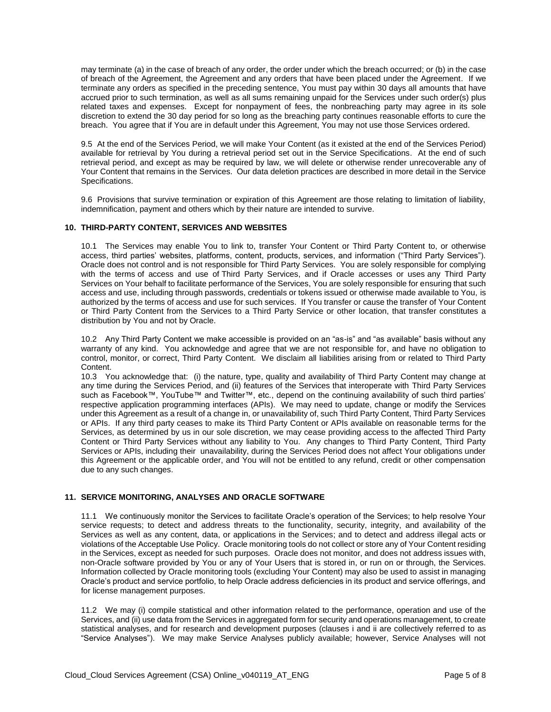may terminate (a) in the case of breach of any order, the order under which the breach occurred; or (b) in the case of breach of the Agreement, the Agreement and any orders that have been placed under the Agreement. If we terminate any orders as specified in the preceding sentence, You must pay within 30 days all amounts that have accrued prior to such termination, as well as all sums remaining unpaid for the Services under such order(s) plus related taxes and expenses. Except for nonpayment of fees, the nonbreaching party may agree in its sole discretion to extend the 30 day period for so long as the breaching party continues reasonable efforts to cure the breach. You agree that if You are in default under this Agreement, You may not use those Services ordered.

9.5 At the end of the Services Period, we will make Your Content (as it existed at the end of the Services Period) available for retrieval by You during a retrieval period set out in the Service Specifications. At the end of such retrieval period, and except as may be required by law, we will delete or otherwise render unrecoverable any of Your Content that remains in the Services. Our data deletion practices are described in more detail in the Service Specifications.

9.6 Provisions that survive termination or expiration of this Agreement are those relating to limitation of liability, indemnification, payment and others which by their nature are intended to survive.

# **10. THIRD-PARTY CONTENT, SERVICES AND WEBSITES**

10.1 The Services may enable You to link to, transfer Your Content or Third Party Content to, or otherwise access, third parties' websites, platforms, content, products, services, and information ("Third Party Services"). Oracle does not control and is not responsible for Third Party Services. You are solely responsible for complying with the terms of access and use of Third Party Services, and if Oracle accesses or uses any Third Party Services on Your behalf to facilitate performance of the Services, You are solely responsible for ensuring that such access and use, including through passwords, credentials or tokens issued or otherwise made available to You, is authorized by the terms of access and use for such services. If You transfer or cause the transfer of Your Content or Third Party Content from the Services to a Third Party Service or other location, that transfer constitutes a distribution by You and not by Oracle.

10.2 Any Third Party Content we make accessible is provided on an "as-is" and "as available" basis without any warranty of any kind. You acknowledge and agree that we are not responsible for, and have no obligation to control, monitor, or correct, Third Party Content. We disclaim all liabilities arising from or related to Third Party Content.

10.3 You acknowledge that: (i) the nature, type, quality and availability of Third Party Content may change at any time during the Services Period, and (ii) features of the Services that interoperate with Third Party Services such as Facebook™, YouTube™ and Twitter™, etc., depend on the continuing availability of such third parties' respective application programming interfaces (APIs). We may need to update, change or modify the Services under this Agreement as a result of a change in, or unavailability of, such Third Party Content, Third Party Services or APIs. If any third party ceases to make its Third Party Content or APIs available on reasonable terms for the Services, as determined by us in our sole discretion, we may cease providing access to the affected Third Party Content or Third Party Services without any liability to You. Any changes to Third Party Content, Third Party Services or APIs, including their unavailability, during the Services Period does not affect Your obligations under this Agreement or the applicable order, and You will not be entitled to any refund, credit or other compensation due to any such changes.

# **11. SERVICE MONITORING, ANALYSES AND ORACLE SOFTWARE**

11.1 We continuously monitor the Services to facilitate Oracle's operation of the Services; to help resolve Your service requests; to detect and address threats to the functionality, security, integrity, and availability of the Services as well as any content, data, or applications in the Services; and to detect and address illegal acts or violations of the Acceptable Use Policy. Oracle monitoring tools do not collect or store any of Your Content residing in the Services, except as needed for such purposes. Oracle does not monitor, and does not address issues with, non-Oracle software provided by You or any of Your Users that is stored in, or run on or through, the Services. Information collected by Oracle monitoring tools (excluding Your Content) may also be used to assist in managing Oracle's product and service portfolio, to help Oracle address deficiencies in its product and service offerings, and for license management purposes.

11.2 We may (i) compile statistical and other information related to the performance, operation and use of the Services, and (ii) use data from the Services in aggregated form for security and operations management, to create statistical analyses, and for research and development purposes (clauses i and ii are collectively referred to as "Service Analyses"). We may make Service Analyses publicly available; however, Service Analyses will not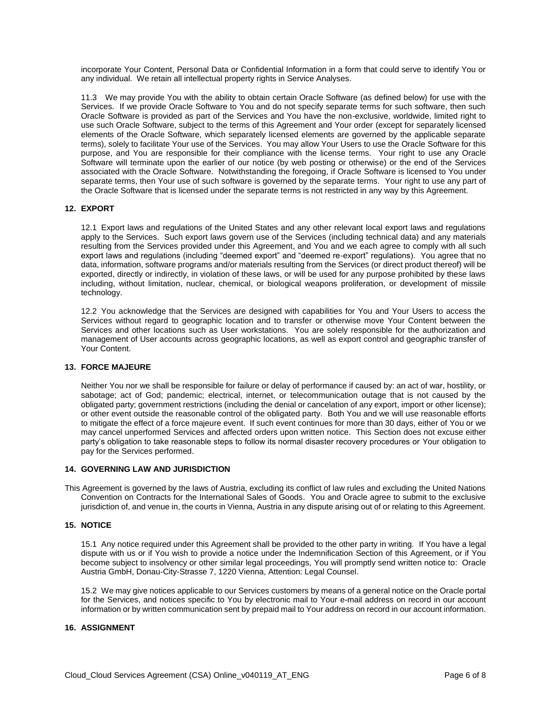incorporate Your Content, Personal Data or Confidential Information in a form that could serve to identify You or any individual. We retain all intellectual property rights in Service Analyses.

11.3 We may provide You with the ability to obtain certain Oracle Software (as defined below) for use with the Services. If we provide Oracle Software to You and do not specify separate terms for such software, then such Oracle Software is provided as part of the Services and You have the non-exclusive, worldwide, limited right to use such Oracle Software, subject to the terms of this Agreement and Your order (except for separately licensed elements of the Oracle Software, which separately licensed elements are governed by the applicable separate terms), solely to facilitate Your use of the Services. You may allow Your Users to use the Oracle Software for this purpose, and You are responsible for their compliance with the license terms. Your right to use any Oracle Software will terminate upon the earlier of our notice (by web posting or otherwise) or the end of the Services associated with the Oracle Software. Notwithstanding the foregoing, if Oracle Software is licensed to You under separate terms, then Your use of such software is governed by the separate terms. Your right to use any part of the Oracle Software that is licensed under the separate terms is not restricted in any way by this Agreement.

# **12. EXPORT**

12.1 Export laws and regulations of the United States and any other relevant local export laws and regulations apply to the Services. Such export laws govern use of the Services (including technical data) and any materials resulting from the Services provided under this Agreement, and You and we each agree to comply with all such export laws and regulations (including "deemed export" and "deemed re-export" regulations). You agree that no data, information, software programs and/or materials resulting from the Services (or direct product thereof) will be exported, directly or indirectly, in violation of these laws, or will be used for any purpose prohibited by these laws including, without limitation, nuclear, chemical, or biological weapons proliferation, or development of missile technology.

12.2 You acknowledge that the Services are designed with capabilities for You and Your Users to access the Services without regard to geographic location and to transfer or otherwise move Your Content between the Services and other locations such as User workstations. You are solely responsible for the authorization and management of User accounts across geographic locations, as well as export control and geographic transfer of Your Content.

#### **13. FORCE MAJEURE**

Neither You nor we shall be responsible for failure or delay of performance if caused by: an act of war, hostility, or sabotage; act of God; pandemic; electrical, internet, or telecommunication outage that is not caused by the obligated party; government restrictions (including the denial or cancelation of any export, import or other license); or other event outside the reasonable control of the obligated party. Both You and we will use reasonable efforts to mitigate the effect of a force majeure event. If such event continues for more than 30 days, either of You or we may cancel unperformed Services and affected orders upon written notice. This Section does not excuse either party's obligation to take reasonable steps to follow its normal disaster recovery procedures or Your obligation to pay for the Services performed.

#### **14. GOVERNING LAW AND JURISDICTION**

This Agreement is governed by the laws of Austria, excluding its conflict of law rules and excluding the United Nations Convention on Contracts for the International Sales of Goods. You and Oracle agree to submit to the exclusive jurisdiction of, and venue in, the courts in Vienna, Austria in any dispute arising out of or relating to this Agreement.

# **15. NOTICE**

15.1 Any notice required under this Agreement shall be provided to the other party in writing. If You have a legal dispute with us or if You wish to provide a notice under the Indemnification Section of this Agreement, or if You become subject to insolvency or other similar legal proceedings, You will promptly send written notice to: Oracle Austria GmbH, Donau-City-Strasse 7, 1220 Vienna, Attention: Legal Counsel.

15.2 We may give notices applicable to our Services customers by means of a general notice on the Oracle portal for the Services, and notices specific to You by electronic mail to Your e-mail address on record in our account information or by written communication sent by prepaid mail to Your address on record in our account information.

# **16. ASSIGNMENT**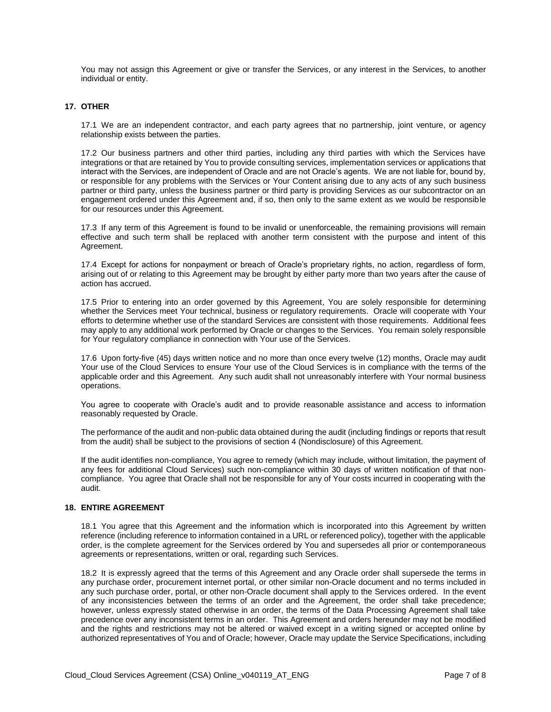You may not assign this Agreement or give or transfer the Services, or any interest in the Services, to another individual or entity.

# **17. OTHER**

17.1 We are an independent contractor, and each party agrees that no partnership, joint venture, or agency relationship exists between the parties.

17.2 Our business partners and other third parties, including any third parties with which the Services have integrations or that are retained by You to provide consulting services, implementation services or applications that interact with the Services, are independent of Oracle and are not Oracle's agents. We are not liable for, bound by, or responsible for any problems with the Services or Your Content arising due to any acts of any such business partner or third party, unless the business partner or third party is providing Services as our subcontractor on an engagement ordered under this Agreement and, if so, then only to the same extent as we would be responsible for our resources under this Agreement.

17.3 If any term of this Agreement is found to be invalid or unenforceable, the remaining provisions will remain effective and such term shall be replaced with another term consistent with the purpose and intent of this Agreement.

17.4 Except for actions for nonpayment or breach of Oracle's proprietary rights, no action, regardless of form, arising out of or relating to this Agreement may be brought by either party more than two years after the cause of action has accrued.

17.5 Prior to entering into an order governed by this Agreement, You are solely responsible for determining whether the Services meet Your technical, business or regulatory requirements. Oracle will cooperate with Your efforts to determine whether use of the standard Services are consistent with those requirements. Additional fees may apply to any additional work performed by Oracle or changes to the Services. You remain solely responsible for Your regulatory compliance in connection with Your use of the Services.

17.6 Upon forty-five (45) days written notice and no more than once every twelve (12) months, Oracle may audit Your use of the Cloud Services to ensure Your use of the Cloud Services is in compliance with the terms of the applicable order and this Agreement. Any such audit shall not unreasonably interfere with Your normal business operations.

You agree to cooperate with Oracle's audit and to provide reasonable assistance and access to information reasonably requested by Oracle.

The performance of the audit and non-public data obtained during the audit (including findings or reports that result from the audit) shall be subject to the provisions of section 4 (Nondisclosure) of this Agreement.

If the audit identifies non-compliance, You agree to remedy (which may include, without limitation, the payment of any fees for additional Cloud Services) such non-compliance within 30 days of written notification of that noncompliance. You agree that Oracle shall not be responsible for any of Your costs incurred in cooperating with the audit.

# **18. ENTIRE AGREEMENT**

18.1 You agree that this Agreement and the information which is incorporated into this Agreement by written reference (including reference to information contained in a URL or referenced policy), together with the applicable order, is the complete agreement for the Services ordered by You and supersedes all prior or contemporaneous agreements or representations, written or oral, regarding such Services.

18.2 It is expressly agreed that the terms of this Agreement and any Oracle order shall supersede the terms in any purchase order, procurement internet portal, or other similar non-Oracle document and no terms included in any such purchase order, portal, or other non-Oracle document shall apply to the Services ordered. In the event of any inconsistencies between the terms of an order and the Agreement, the order shall take precedence; however, unless expressly stated otherwise in an order, the terms of the Data Processing Agreement shall take precedence over any inconsistent terms in an order. This Agreement and orders hereunder may not be modified and the rights and restrictions may not be altered or waived except in a writing signed or accepted online by authorized representatives of You and of Oracle; however, Oracle may update the Service Specifications, including